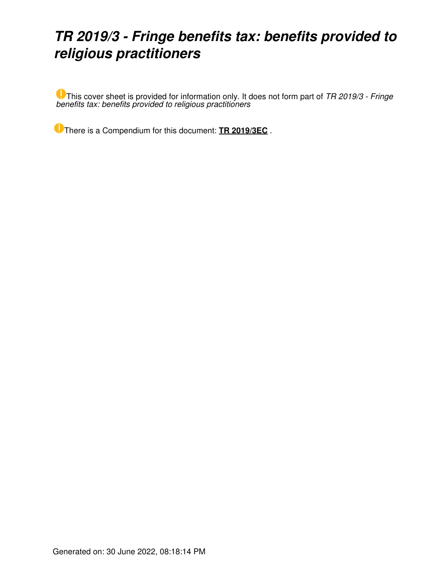# *TR 2019/3 - Fringe benefits tax: benefits provided to religious practitioners*

This cover sheet is provided for information only. It does not form part of *TR 2019/3 - Fringe benefits tax: benefits provided to religious practitioners*

There is a Compendium for this document: **[TR 2019/3EC](https://www.ato.gov.au/law/view/document?LocID=%22CTR%2FTR2019EC3%2FNAT%2FATO%2F00001%22&PiT=20201208000001)** .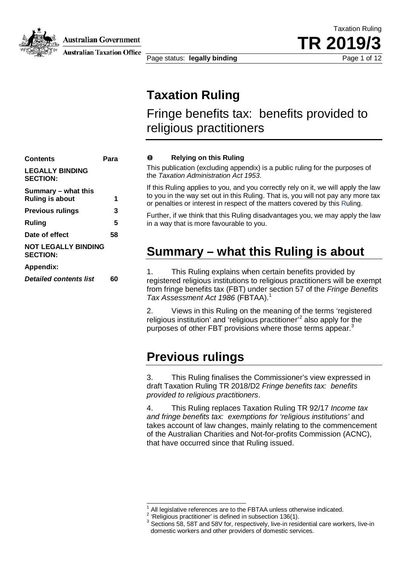

**Australian Government** 

**Australian Taxation Office** 

Page status: **legally binding** Page 1 of 12

Taxation Ruling **TR 2019/3**

## **Taxation Ruling**

Fringe benefits tax: benefits provided to religious practitioners

| Contents                                      | Para |
|-----------------------------------------------|------|
| <b>LEGALLY BINDING</b><br><b>SECTION:</b>     |      |
| Summary – what this<br><b>Ruling is about</b> | 1    |
| <b>Previous rulings</b>                       | 3    |
| Ruling                                        | 5    |
| Date of effect                                | 58   |
| <b>NOT LEGALLY BINDING</b><br><b>SECTION:</b> |      |
| Appendix:                                     |      |
| <b>Detailed contents list</b>                 | 60   |
|                                               |      |

#### **Relying on this Ruling**  $\bullet$

This publication (excluding appendix) is a public ruling for the purposes of the *Taxation Administration Act 1953*.

If this Ruling applies to you, and you correctly rely on it, we will apply the law to you in the way set out in this Ruling. That is, you will not pay any more tax or penalties or interest in respect of the matters covered by this Ruling.

Further, if we think that this Ruling disadvantages you, we may apply the law in a way that is more favourable to you.

### **Summary – what this Ruling is about**

1. This Ruling explains when certain benefits provided by registered religious institutions to religious practitioners will be exempt from fringe benefits tax (FBT) under section 57 of the *Fringe Benefits Tax Assessment Act 1986* (FBTAA). 1

2. Views in this Ruling on the meaning of the terms 'registered religious institution' and 'religious practitioner'<sup>2</sup> also apply for the purposes of other FBT provisions where those terms appear.<sup>3</sup>

### **Previous rulings**

 $\overline{\phantom{a}}$ 

3. This Ruling finalises the Commissioner's view expressed in draft Taxation Ruling TR 2018/D2 *Fringe benefits tax: benefits provided to religious practitioners*.

4. This Ruling replaces Taxation Ruling TR 92/17 *Income tax and fringe benefits tax: exemptions for 'religious institutions'* and takes account of law changes, mainly relating to the commencement of the Australian Charities and Not-for-profits Commission (ACNC), that have occurred since that Ruling issued.

<sup>&</sup>lt;sup>1</sup> All legislative references are to the FBTAA unless otherwise indicated.<br><sup>2</sup> 'Religious practitioner' is defined in subsection 136(1).<br><sup>3</sup> Sections 58, 58T and 58V for, respectively, live-in residential care workers, l domestic workers and other providers of domestic services.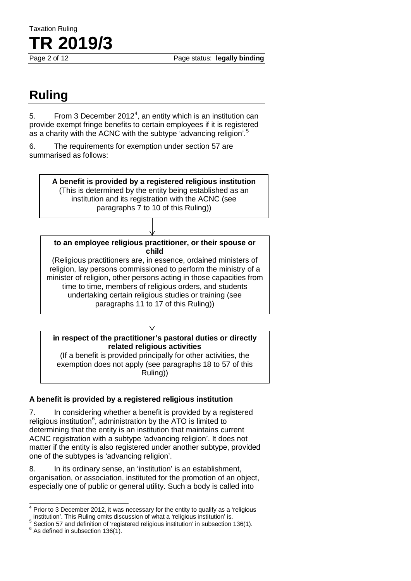Page 2 of 12 Page status: **legally binding**

# **Ruling**

Taxation Ruling

**TR 2019/3**

5. From 3 December 2012<sup>4</sup>, an entity which is an institution can provide exempt fringe benefits to certain employees if it is registered as a charity with the ACNC with the subtype 'advancing religion'.<sup>5</sup>

6. The requirements for exemption under section 57 are summarised as follows:



(If a benefit is provided principally for other activities, the exemption does not apply (see paragraphs 18 to 57 of this Ruling))

#### **A benefit is provided by a registered religious institution**

7. In considering whether a benefit is provided by a registered religious institution<sup>6</sup>, administration by the ATO is limited to determining that the entity is an institution that maintains current ACNC registration with a subtype 'advancing religion'. It does not matter if the entity is also registered under another subtype, provided one of the subtypes is 'advancing religion'.

8. In its ordinary sense, an 'institution' is an establishment, organisation, or association, instituted for the promotion of an object, especially one of public or general utility. Such a body is called into

 $<sup>4</sup>$  Prior to 3 December 2012, it was necessary for the entity to qualify as a 'religious</sup>  $\overline{a}$ 

institution'. This Ruling omits discussion of what a 'religious institution' is.<br><sup>5</sup> Section 57 and definition of 'registered religious institution' in subsection 136(1).

 $6$  As defined in subsection 136(1).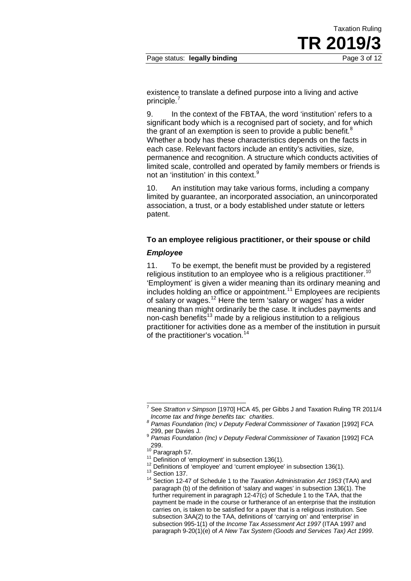existence to translate a defined purpose into a living and active principle.<sup>7</sup>

9. In the context of the FBTAA, the word 'institution' refers to a significant body which is a recognised part of society, and for which the grant of an exemption is seen to provide a public benefit. $8$ Whether a body has these characteristics depends on the facts in each case. Relevant factors include an entity's activities, size, permanence and recognition. A structure which conducts activities of limited scale, controlled and operated by family members or friends is not an 'institution' in this context.<sup>9</sup>

10. An institution may take various forms, including a company limited by guarantee, an incorporated association, an unincorporated association, a trust, or a body established under statute or letters patent.

#### **To an employee religious practitioner, or their spouse or child**

#### *Employee*

11. To be exempt, the benefit must be provided by a registered religious institution to an employee who is a religious practitioner.<sup>10</sup> 'Employment' is given a wider meaning than its ordinary meaning and includes holding an office or appointment.<sup>11</sup> Employees are recipients of salary or wages.<sup>12</sup> Here the term 'salary or wages' has a wider meaning than might ordinarily be the case. It includes payments and non-cash benefits<sup>13</sup> made by a religious institution to a religious practitioner for activities done as a member of the institution in pursuit of the practitioner's vocation.<sup>14</sup>

<sup>7</sup> See *Stratton v Simpson* [1970] HCA 45, per Gibbs J and Taxation Ruling TR 2011/4  $\overline{a}$ 

*Income tax and fringe benefits tax: charities*. *<sup>8</sup> Pamas Foundation (Inc) v Deputy Federal Commissioner of Taxation* [1992] FCA 299, per Davies J.

<sup>9</sup> *Pamas Foundation (Inc) v Deputy Federal Commissioner of Taxation* [1992] FCA 299.<br> $^{10}$  Paragraph 57.

<sup>&</sup>lt;sup>11</sup> Definition of 'employment' in subsection 136(1).<br><sup>12</sup> Definitions of 'employee' and 'current employee' in subsection 136(1).<br><sup>13</sup> Section 137.<br><sup>14</sup> Section 12-47 of Schedule 1 to the *Taxation Administration Act 1953* paragraph (b) of the definition of 'salary and wages' in subsection 136(1). The further requirement in paragraph 12-47(c) of Schedule 1 to the TAA, that the payment be made in the course or furtherance of an enterprise that the institution carries on, is taken to be satisfied for a payer that is a religious institution. See subsection 3AA(2) to the TAA, definitions of 'carrying on' and 'enterprise' in subsection 995-1(1) of the *Income Tax Assessment Act 1997* (ITAA 1997 and paragraph 9-20(1)(e) of *A New Tax System (Goods and Services Tax) Act 1999*.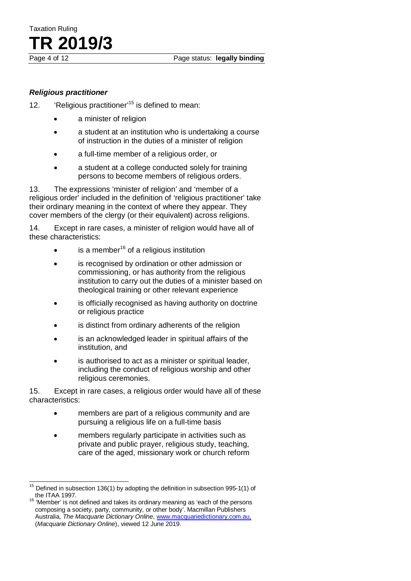Taxation Ruling **TR 2019/3**

#### *Religious practitioner*

12. 'Religious practitioner' <sup>15</sup> is defined to mean:

- a minister of religion
- a student at an institution who is undertaking a course of instruction in the duties of a minister of religion
- a full-time member of a religious order, or
- a student at a college conducted solely for training persons to become members of religious orders.

13. The expressions 'minister of religion' and 'member of a religious order' included in the definition of 'religious practitioner' take their ordinary meaning in the context of where they appear. They cover members of the clergy (or their equivalent) across religions.

14. Except in rare cases, a minister of religion would have all of these characteristics:

- is a member $16$  of a religious institution
- is recognised by ordination or other admission or commissioning, or has authority from the religious institution to carry out the duties of a minister based on theological training or other relevant experience
- is officially recognised as having authority on doctrine or religious practice
- is distinct from ordinary adherents of the religion
- is an acknowledged leader in spiritual affairs of the institution, and
- is authorised to act as a minister or spiritual leader. including the conduct of religious worship and other religious ceremonies.

15. Except in rare cases, a religious order would have all of these characteristics:

- members are part of a religious community and are pursuing a religious life on a full-time basis
- members regularly participate in activities such as private and public prayer, religious study, teaching, care of the aged, missionary work or church reform

<sup>15</sup> Defined in subsection 136(1) by adopting the definition in subsection 995-1(1) of the ITAA 1997. **16 'Member' is not defined and takes its ordinary meaning as 'each of the persons**  $\overline{\phantom{a}}$ 

composing a society, party, community, or other body'. Macmillan Publishers Australia, *The Macquarie Dictionary Online*, www.macquariedictionary.com.au, (*Macquarie Dictionary Online*), viewed 12 June 2019.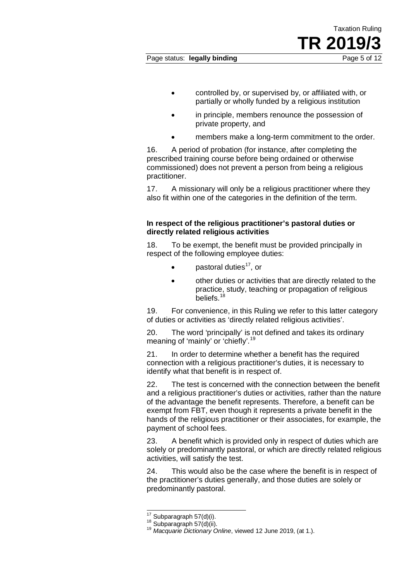- controlled by, or supervised by, or affiliated with, or partially or wholly funded by a religious institution
- in principle, members renounce the possession of private property, and
- members make a long-term commitment to the order.

16. A period of probation (for instance, after completing the prescribed training course before being ordained or otherwise commissioned) does not prevent a person from being a religious practitioner.

17. A missionary will only be a religious practitioner where they also fit within one of the categories in the definition of the term.

#### **In respect of the religious practitioner's pastoral duties or directly related religious activities**

18. To be exempt, the benefit must be provided principally in respect of the following employee duties:

- pastoral duties<sup>17</sup>. or
- other duties or activities that are directly related to the practice, study, teaching or propagation of religious beliefs.<sup>18</sup>

19. For convenience, in this Ruling we refer to this latter category of duties or activities as 'directly related religious activities'.

20. The word 'principally' is not defined and takes its ordinary meaning of 'mainly' or 'chiefly'.<sup>19</sup>

21. In order to determine whether a benefit has the required connection with a religious practitioner's duties, it is necessary to identify what that benefit is in respect of.

22. The test is concerned with the connection between the benefit and a religious practitioner's duties or activities, rather than the nature of the advantage the benefit represents. Therefore, a benefit can be exempt from FBT, even though it represents a private benefit in the hands of the religious practitioner or their associates, for example, the payment of school fees.

23. A benefit which is provided only in respect of duties which are solely or predominantly pastoral, or which are directly related religious activities, will satisfy the test.

24. This would also be the case where the benefit is in respect of the practitioner's duties generally, and those duties are solely or predominantly pastoral.

 $17$  Subparagraph  $57(d)(i)$ .

<sup>17</sup> Subparagraph 57(d)(i). <sup>18</sup> Subparagraph 57(d)(ii). <sup>19</sup> *Macquarie Dictionary Online*, viewed 12 June 2019, (at 1.).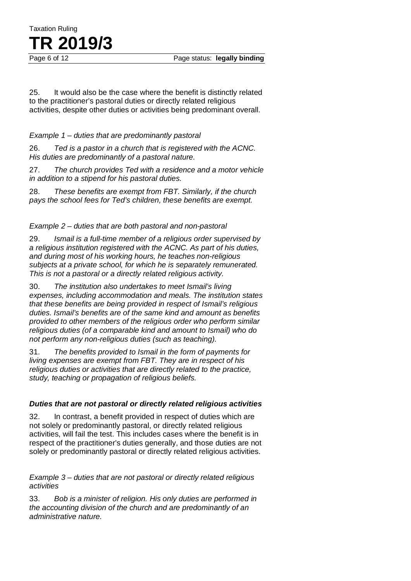# Taxation Ruling **TR 2019/3**

25. It would also be the case where the benefit is distinctly related to the practitioner's pastoral duties or directly related religious activities, despite other duties or activities being predominant overall.

#### *Example 1 – duties that are predominantly pastoral*

26. *Ted is a pastor in a church that is registered with the ACNC. His duties are predominantly of a pastoral nature.*

27. *The church provides Ted with a residence and a motor vehicle in addition to a stipend for his pastoral duties.*

28. *These benefits are exempt from FBT. Similarly, if the church pays the school fees for Ted's children, these benefits are exempt.*

#### *Example 2 – duties that are both pastoral and non-pastoral*

29. *Ismail is a full-time member of a religious order supervised by a religious institution registered with the ACNC. As part of his duties, and during most of his working hours, he teaches non-religious subjects at a private school, for which he is separately remunerated. This is not a pastoral or a directly related religious activity.*

30. *The institution also undertakes to meet Ismail's living expenses, including accommodation and meals. The institution states that these benefits are being provided in respect of Ismail's religious duties. Ismail's benefits are of the same kind and amount as benefits provided to other members of the religious order who perform similar religious duties (of a comparable kind and amount to Ismail) who do not perform any non-religious duties (such as teaching).*

31. *The benefits provided to Ismail in the form of payments for living expenses are exempt from FBT. They are in respect of his religious duties or activities that are directly related to the practice, study, teaching or propagation of religious beliefs.*

#### *Duties that are not pastoral or directly related religious activities*

32. In contrast, a benefit provided in respect of duties which are not solely or predominantly pastoral, or directly related religious activities, will fail the test. This includes cases where the benefit is in respect of the practitioner's duties generally, and those duties are not solely or predominantly pastoral or directly related religious activities.

*Example 3 – duties that are not pastoral or directly related religious activities*

33. *Bob is a minister of religion. His only duties are performed in the accounting division of the church and are predominantly of an administrative nature.*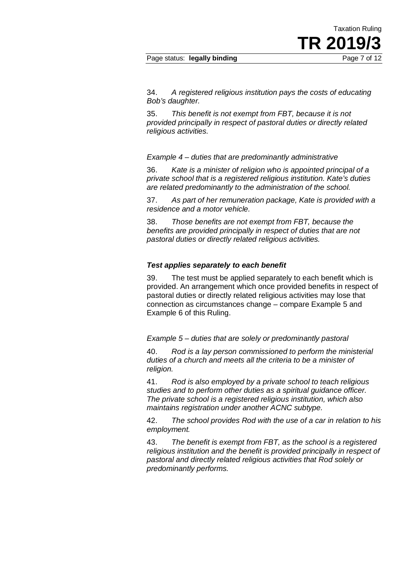#### Page status: **legally binding** Page 7 of 12

34. *A registered religious institution pays the costs of educating Bob's daughter.*

35. *This benefit is not exempt from FBT, because it is not provided principally in respect of pastoral duties or directly related religious activities.*

*Example 4 – duties that are predominantly administrative*

36. *Kate is a minister of religion who is appointed principal of a private school that is a registered religious institution. Kate's duties are related predominantly to the administration of the school.*

37. *As part of her remuneration package, Kate is provided with a residence and a motor vehicle.*

38. *Those benefits are not exempt from FBT, because the benefits are provided principally in respect of duties that are not pastoral duties or directly related religious activities.*

#### *Test applies separately to each benefit*

39. The test must be applied separately to each benefit which is provided. An arrangement which once provided benefits in respect of pastoral duties or directly related religious activities may lose that connection as circumstances change – compare Example 5 and Example 6 of this Ruling.

*Example 5 – duties that are solely or predominantly pastoral*

40. *Rod is a lay person commissioned to perform the ministerial duties of a church and meets all the criteria to be a minister of religion.* 

41. *Rod is also employed by a private school to teach religious studies and to perform other duties as a spiritual guidance officer. The private school is a registered religious institution, which also maintains registration under another ACNC subtype.*

42. *The school provides Rod with the use of a car in relation to his employment.*

43. *The benefit is exempt from FBT, as the school is a registered religious institution and the benefit is provided principally in respect of pastoral and directly related religious activities that Rod solely or predominantly performs.*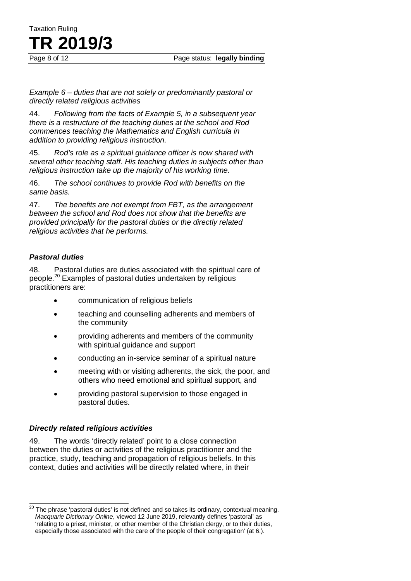Page 8 of 12 Page status: **legally binding**

*Example 6 – duties that are not solely or predominantly pastoral or directly related religious activities*

44. *Following from the facts of Example 5, in a subsequent year there is a restructure of the teaching duties at the school and Rod commences teaching the Mathematics and English curricula in addition to providing religious instruction.*

45. *Rod's role as a spiritual guidance officer is now shared with several other teaching staff. His teaching duties in subjects other than religious instruction take up the majority of his working time.*

46. *The school continues to provide Rod with benefits on the same basis.*

47. *The benefits are not exempt from FBT, as the arrangement between the school and Rod does not show that the benefits are provided principally for the pastoral duties or the directly related religious activities that he performs.*

#### *Pastoral duties*

Taxation Ruling

**TR 2019/3**

48. Pastoral duties are duties associated with the spiritual care of people.<sup>20</sup> Examples of pastoral duties undertaken by religious practitioners are:

- communication of religious beliefs
- teaching and counselling adherents and members of the community
- providing adherents and members of the community with spiritual guidance and support
- conducting an in-service seminar of a spiritual nature
- meeting with or visiting adherents, the sick, the poor, and others who need emotional and spiritual support, and
- providing pastoral supervision to those engaged in pastoral duties.

#### *Directly related religious activities*

49. The words 'directly related' point to a close connection between the duties or activities of the religious practitioner and the practice, study, teaching and propagation of religious beliefs. In this context, duties and activities will be directly related where, in their

The phrase 'pastoral duties' is not defined and so takes its ordinary, contextual meaning. *Macquarie Dictionary Online*, viewed 12 June 2019, relevantly defines 'pastoral' as 'relating to a priest, minister, or other member of the Christian clergy, or to their duties, especially those associated with the care of the people of their congregation' (at 6.).  $\overline{\phantom{a}}$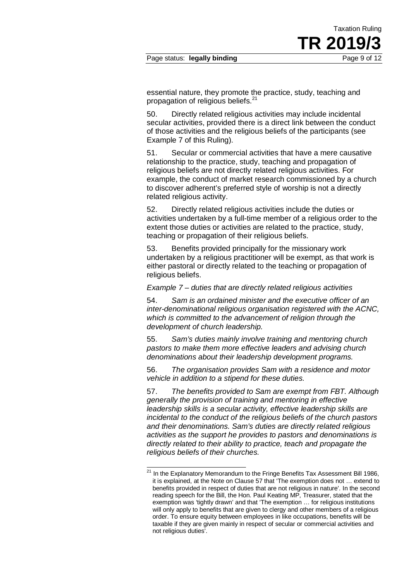essential nature, they promote the practice, study, teaching and propagation of religious beliefs.<sup>21</sup>

50. Directly related religious activities may include incidental secular activities, provided there is a direct link between the conduct of those activities and the religious beliefs of the participants (see Example 7 of this Ruling).

51. Secular or commercial activities that have a mere causative relationship to the practice, study, teaching and propagation of religious beliefs are not directly related religious activities. For example, the conduct of market research commissioned by a church to discover adherent's preferred style of worship is not a directly related religious activity.

52. Directly related religious activities include the duties or activities undertaken by a full-time member of a religious order to the extent those duties or activities are related to the practice, study, teaching or propagation of their religious beliefs.

53. Benefits provided principally for the missionary work undertaken by a religious practitioner will be exempt, as that work is either pastoral or directly related to the teaching or propagation of religious beliefs.

#### *Example 7 – duties that are directly related religious activities*

54. *Sam is an ordained minister and the executive officer of an inter-denominational religious organisation registered with the ACNC, which is committed to the advancement of religion through the development of church leadership.*

55. *Sam's duties mainly involve training and mentoring church pastors to make them more effective leaders and advising church denominations about their leadership development programs.*

56. *The organisation provides Sam with a residence and motor vehicle in addition to a stipend for these duties.*

57. *The benefits provided to Sam are exempt from FBT. Although generally the provision of training and mentoring in effective leadership skills is a secular activity, effective leadership skills are incidental to the conduct of the religious beliefs of the church pastors and their denominations. Sam's duties are directly related religious activities as the support he provides to pastors and denominations is directly related to their ability to practice, teach and propagate the religious beliefs of their churches.*

 $\overline{a}$ 

<sup>&</sup>lt;sup>21</sup> In the Explanatory Memorandum to the Fringe Benefits Tax Assessment Bill 1986, it is explained, at the Note on Clause 57 that 'The exemption does not … extend to benefits provided in respect of duties that are not religious in nature'. In the second reading speech for the Bill, the Hon. Paul Keating MP, Treasurer, stated that the exemption was 'tightly drawn' and that 'The exemption … for religious institutions will only apply to benefits that are given to clergy and other members of a religious order. To ensure equity between employees in like occupations, benefits will be taxable if they are given mainly in respect of secular or commercial activities and not religious duties'.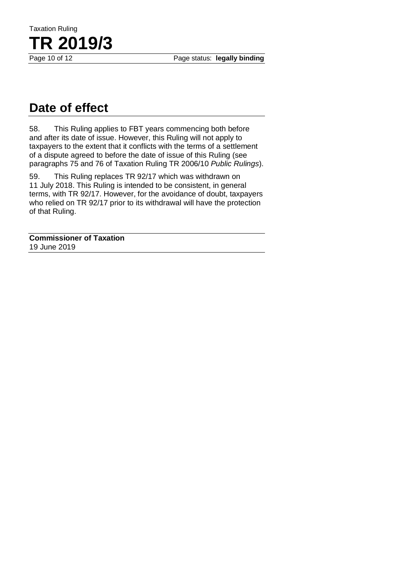Page status: legally binding

# **Date of effect**

**TR 2019/3** 

Taxation Ruling

58. This Ruling applies to FBT years commencing both before and after its date of issue. However, this Ruling will not apply to taxpayers to the extent that it conflicts with the terms of a settlement of a dispute agreed to before the date of issue of this Ruling (see paragraphs 75 and 76 of Taxation Ruling TR 2006/10 *Public Rulings*).

59. This Ruling replaces TR 92/17 which was withdrawn on 11 July 2018. This Ruling is intended to be consistent, in general terms, with TR 92/17. However, for the avoidance of doubt, taxpayers who relied on TR 92/17 prior to its withdrawal will have the protection of that Ruling.

**Commissioner of Taxation** 19 June 2019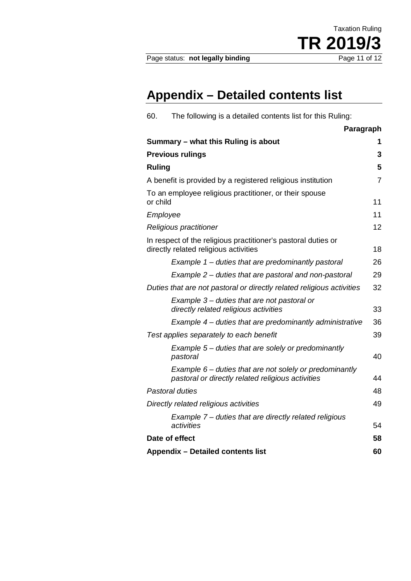# **Appendix – Detailed contents list**

| The following is a detailed contents list for this Ruling:<br>60.                                              |                |
|----------------------------------------------------------------------------------------------------------------|----------------|
| Paragraph                                                                                                      |                |
| Summary - what this Ruling is about                                                                            | 1              |
| <b>Previous rulings</b>                                                                                        | 3              |
| <b>Ruling</b>                                                                                                  | 5              |
| A benefit is provided by a registered religious institution                                                    | $\overline{7}$ |
| To an employee religious practitioner, or their spouse<br>or child                                             | 11             |
| Employee                                                                                                       | 11             |
| Religious practitioner                                                                                         | 12             |
| In respect of the religious practitioner's pastoral duties or<br>directly related religious activities         | 18             |
| Example 1 – duties that are predominantly pastoral                                                             | 26             |
| Example 2 – duties that are pastoral and non-pastoral                                                          | 29             |
| Duties that are not pastoral or directly related religious activities                                          | 32             |
| Example 3 – duties that are not pastoral or<br>directly related religious activities                           | 33             |
| Example 4 – duties that are predominantly administrative                                                       | 36             |
| Test applies separately to each benefit                                                                        | 39             |
| Example 5 – duties that are solely or predominantly<br>pastoral                                                | 40             |
| Example $6$ – duties that are not solely or predominantly<br>pastoral or directly related religious activities | 44             |
| Pastoral duties                                                                                                | 48             |
| Directly related religious activities                                                                          | 49             |
| Example 7 – duties that are directly related religious<br>activities                                           | 54             |
| Date of effect                                                                                                 | 58             |
| <b>Appendix - Detailed contents list</b>                                                                       | 60             |